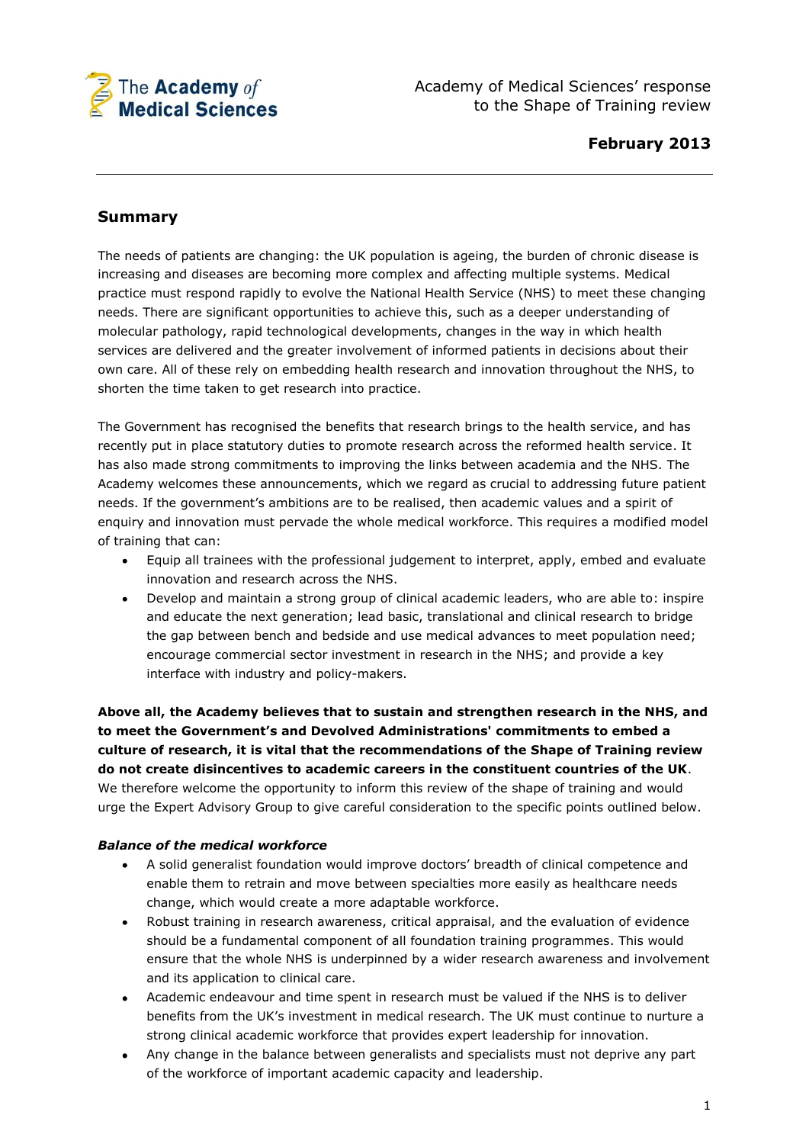

Academy of Medical Sciences' response to the Shape of Training review

## **Summary**

The needs of patients are changing: the UK population is ageing, the burden of chronic disease is increasing and diseases are becoming more complex and affecting multiple systems. Medical practice must respond rapidly to evolve the National Health Service (NHS) to meet these changing needs. There are significant opportunities to achieve this, such as a deeper understanding of molecular pathology, rapid technological developments, changes in the way in which health services are delivered and the greater involvement of informed patients in decisions about their own care. All of these rely on embedding health research and innovation throughout the NHS, to shorten the time taken to get research into practice.

The Government has recognised the benefits that research brings to the health service, and has recently put in place statutory duties to promote research across the reformed health service. It has also made strong commitments to improving the links between academia and the NHS. The Academy welcomes these announcements, which we regard as crucial to addressing future patient needs. If the government's ambitions are to be realised, then academic values and a spirit of enquiry and innovation must pervade the whole medical workforce. This requires a modified model of training that can:

- Equip all trainees with the professional judgement to interpret, apply, embed and evaluate innovation and research across the NHS.
- Develop and maintain a strong group of clinical academic leaders, who are able to: inspire  $\bullet$ and educate the next generation; lead basic, translational and clinical research to bridge the gap between bench and bedside and use medical advances to meet population need; encourage commercial sector investment in research in the NHS; and provide a key interface with industry and policy-makers.

**Above all, the Academy believes that to sustain and strengthen research in the NHS, and to meet the Government's and Devolved Administrations' commitments to embed a culture of research, it is vital that the recommendations of the Shape of Training review do not create disincentives to academic careers in the constituent countries of the UK**. We therefore welcome the opportunity to inform this review of the shape of training and would urge the Expert Advisory Group to give careful consideration to the specific points outlined below.

#### *Balance of the medical workforce*

- A solid generalist foundation would improve doctors' breadth of clinical competence and  $\bullet$ enable them to retrain and move between specialties more easily as healthcare needs change, which would create a more adaptable workforce.
- $\bullet$ Robust training in research awareness, critical appraisal, and the evaluation of evidence should be a fundamental component of all foundation training programmes. This would ensure that the whole NHS is underpinned by a wider research awareness and involvement and its application to clinical care.
- $\bullet$ Academic endeavour and time spent in research must be valued if the NHS is to deliver benefits from the UK's investment in medical research. The UK must continue to nurture a strong clinical academic workforce that provides expert leadership for innovation.
- Any change in the balance between generalists and specialists must not deprive any part  $\bullet$ of the workforce of important academic capacity and leadership.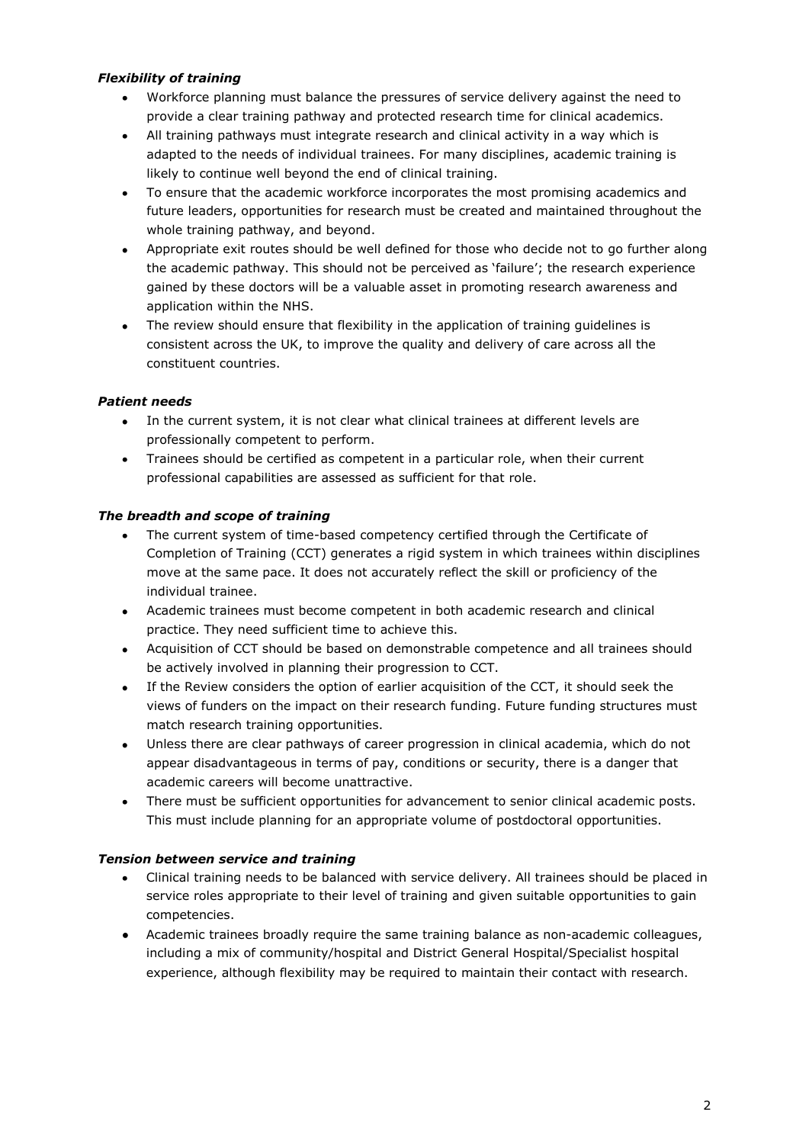## *Flexibility of training*

- Workforce planning must balance the pressures of service delivery against the need to provide a clear training pathway and protected research time for clinical academics.
- All training pathways must integrate research and clinical activity in a way which is adapted to the needs of individual trainees. For many disciplines, academic training is likely to continue well beyond the end of clinical training.
- To ensure that the academic workforce incorporates the most promising academics and future leaders, opportunities for research must be created and maintained throughout the whole training pathway, and beyond.
- Appropriate exit routes should be well defined for those who decide not to go further along  $\bullet$ the academic pathway. This should not be perceived as 'failure'; the research experience gained by these doctors will be a valuable asset in promoting research awareness and application within the NHS.
- The review should ensure that flexibility in the application of training guidelines is  $\bullet$ consistent across the UK, to improve the quality and delivery of care across all the constituent countries.

## *Patient needs*

- In the current system, it is not clear what clinical trainees at different levels are professionally competent to perform.
- Trainees should be certified as competent in a particular role, when their current  $\bullet$ professional capabilities are assessed as sufficient for that role.

## *The breadth and scope of training*

- The current system of time-based competency certified through the Certificate of Completion of Training (CCT) generates a rigid system in which trainees within disciplines move at the same pace. It does not accurately reflect the skill or proficiency of the individual trainee.
- Academic trainees must become competent in both academic research and clinical practice. They need sufficient time to achieve this.
- Acquisition of CCT should be based on demonstrable competence and all trainees should be actively involved in planning their progression to CCT.
- If the Review considers the option of earlier acquisition of the CCT, it should seek the  $\bullet$ views of funders on the impact on their research funding. Future funding structures must match research training opportunities.
- $\bullet$ Unless there are clear pathways of career progression in clinical academia, which do not appear disadvantageous in terms of pay, conditions or security, there is a danger that academic careers will become unattractive.
- There must be sufficient opportunities for advancement to senior clinical academic posts. This must include planning for an appropriate volume of postdoctoral opportunities.

#### *Tension between service and training*

- Clinical training needs to be balanced with service delivery. All trainees should be placed in  $\bullet$ service roles appropriate to their level of training and given suitable opportunities to gain competencies.
- Academic trainees broadly require the same training balance as non-academic colleagues, including a mix of community/hospital and District General Hospital/Specialist hospital experience, although flexibility may be required to maintain their contact with research.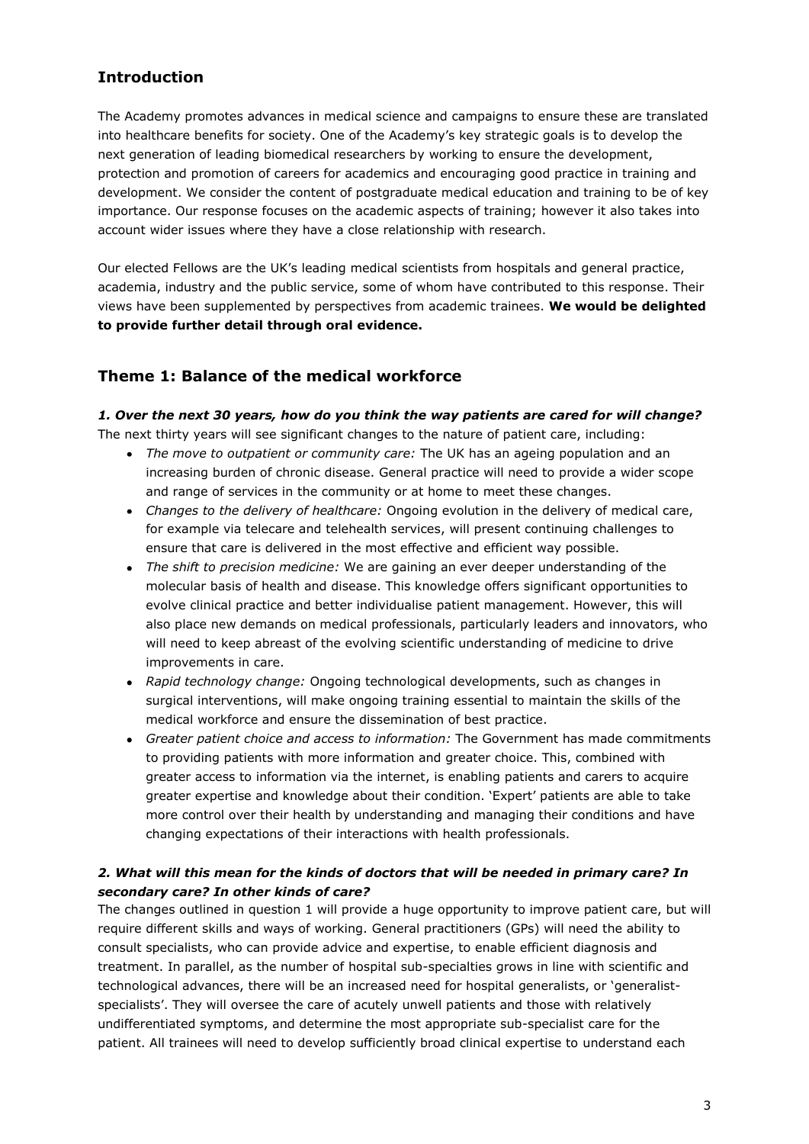# **Introduction**

The Academy promotes advances in medical science and campaigns to ensure these are translated into healthcare benefits for society. One of the Academy's key strategic goals is to develop the next generation of leading biomedical researchers by working to ensure the development, protection and promotion of careers for academics and encouraging good practice in training and development. We consider the content of postgraduate medical education and training to be of key importance. Our response focuses on the academic aspects of training; however it also takes into account wider issues where they have a close relationship with research.

Our elected Fellows are the UK's leading medical scientists from hospitals and general practice, academia, industry and the public service, some of whom have contributed to this response. Their views have been supplemented by perspectives from academic trainees. **We would be delighted to provide further detail through oral evidence.** 

## **Theme 1: Balance of the medical workforce**

# *1. Over the next 30 years, how do you think the way patients are cared for will change?*

The next thirty years will see significant changes to the nature of patient care, including:

- *The move to outpatient or community care:* The UK has an ageing population and an increasing burden of chronic disease. General practice will need to provide a wider scope and range of services in the community or at home to meet these changes.
- *Changes to the delivery of healthcare:* Ongoing evolution in the delivery of medical care, for example via telecare and telehealth services, will present continuing challenges to ensure that care is delivered in the most effective and efficient way possible.
- *The shift to precision medicine:* We are gaining an ever deeper understanding of the molecular basis of health and disease. This knowledge offers significant opportunities to evolve clinical practice and better individualise patient management. However, this will also place new demands on medical professionals, particularly leaders and innovators, who will need to keep abreast of the evolving scientific understanding of medicine to drive improvements in care.
- *Rapid technology change:* Ongoing technological developments, such as changes in surgical interventions, will make ongoing training essential to maintain the skills of the medical workforce and ensure the dissemination of best practice.
- *Greater patient choice and access to information:* The Government has made commitments to providing patients with more information and greater choice. This, combined with greater access to information via the internet, is enabling patients and carers to acquire greater expertise and knowledge about their condition. 'Expert' patients are able to take more control over their health by understanding and managing their conditions and have changing expectations of their interactions with health professionals.

## *2. What will this mean for the kinds of doctors that will be needed in primary care? In secondary care? In other kinds of care?*

The changes outlined in question 1 will provide a huge opportunity to improve patient care, but will require different skills and ways of working. General practitioners (GPs) will need the ability to consult specialists, who can provide advice and expertise, to enable efficient diagnosis and treatment. In parallel, as the number of hospital sub-specialties grows in line with scientific and technological advances, there will be an increased need for hospital generalists, or 'generalistspecialists'. They will oversee the care of acutely unwell patients and those with relatively undifferentiated symptoms, and determine the most appropriate sub-specialist care for the patient. All trainees will need to develop sufficiently broad clinical expertise to understand each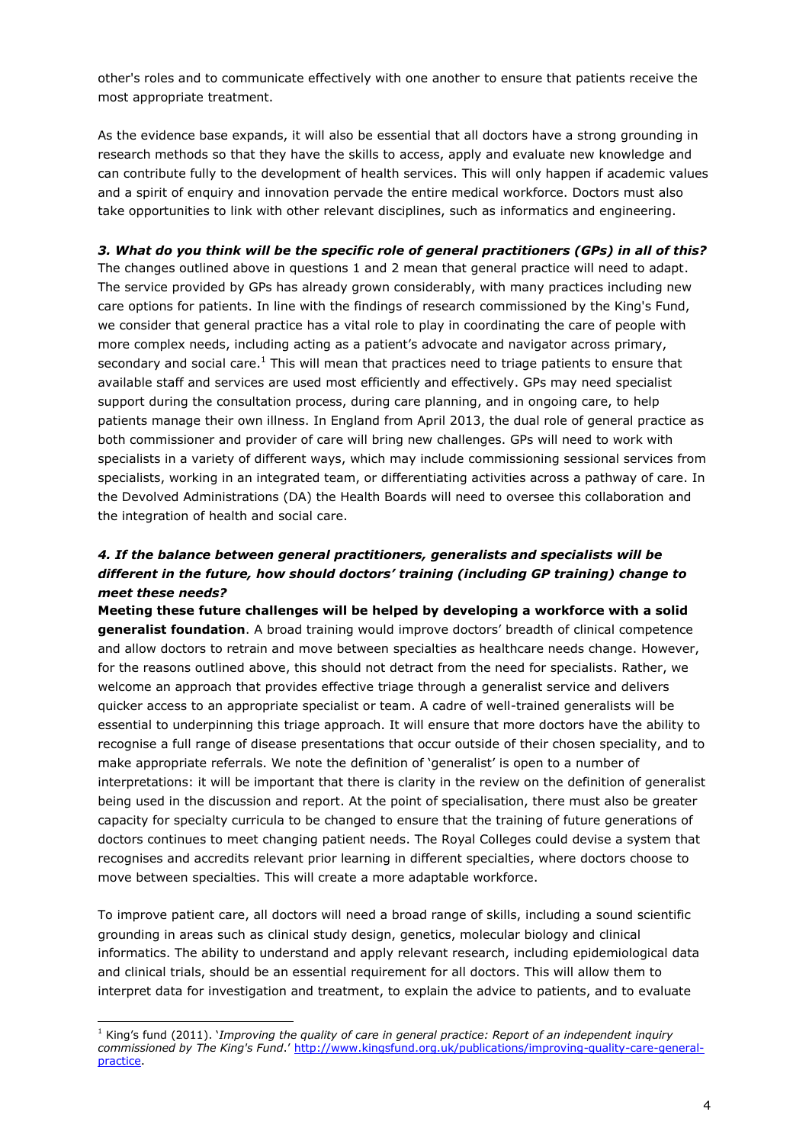other's roles and to communicate effectively with one another to ensure that patients receive the most appropriate treatment.

As the evidence base expands, it will also be essential that all doctors have a strong grounding in research methods so that they have the skills to access, apply and evaluate new knowledge and can contribute fully to the development of health services. This will only happen if academic values and a spirit of enquiry and innovation pervade the entire medical workforce. Doctors must also take opportunities to link with other relevant disciplines, such as informatics and engineering.

### *3. What do you think will be the specific role of general practitioners (GPs) in all of this?*

The changes outlined above in questions 1 and 2 mean that general practice will need to adapt. The service provided by GPs has already grown considerably, with many practices including new care options for patients. In line with the findings of research commissioned by the King's Fund, we consider that general practice has a vital role to play in coordinating the care of people with more complex needs, including acting as a patient's advocate and navigator across primary, secondary and social care.<sup>1</sup> This will mean that practices need to triage patients to ensure that available staff and services are used most efficiently and effectively. GPs may need specialist support during the consultation process, during care planning, and in ongoing care, to help patients manage their own illness. In England from April 2013, the dual role of general practice as both commissioner and provider of care will bring new challenges. GPs will need to work with specialists in a variety of different ways, which may include commissioning sessional services from specialists, working in an integrated team, or differentiating activities across a pathway of care. In the Devolved Administrations (DA) the Health Boards will need to oversee this collaboration and the integration of health and social care.

## *4. If the balance between general practitioners, generalists and specialists will be different in the future, how should doctors' training (including GP training) change to meet these needs?*

**Meeting these future challenges will be helped by developing a workforce with a solid generalist foundation**. A broad training would improve doctors' breadth of clinical competence and allow doctors to retrain and move between specialties as healthcare needs change. However, for the reasons outlined above, this should not detract from the need for specialists. Rather, we welcome an approach that provides effective triage through a generalist service and delivers quicker access to an appropriate specialist or team. A cadre of well-trained generalists will be essential to underpinning this triage approach. It will ensure that more doctors have the ability to recognise a full range of disease presentations that occur outside of their chosen speciality, and to make appropriate referrals. We note the definition of 'generalist' is open to a number of interpretations: it will be important that there is clarity in the review on the definition of generalist being used in the discussion and report. At the point of specialisation, there must also be greater capacity for specialty curricula to be changed to ensure that the training of future generations of doctors continues to meet changing patient needs. The Royal Colleges could devise a system that recognises and accredits relevant prior learning in different specialties, where doctors choose to move between specialties. This will create a more adaptable workforce.

To improve patient care, all doctors will need a broad range of skills, including a sound scientific grounding in areas such as clinical study design, genetics, molecular biology and clinical informatics. The ability to understand and apply relevant research, including epidemiological data and clinical trials, should be an essential requirement for all doctors. This will allow them to interpret data for investigation and treatment, to explain the advice to patients, and to evaluate

-

<sup>1</sup> King's fund (2011). '*Improving the quality of care in general practice: Report of an independent inquiry commissioned by The King's Fund*.' [http://www.kingsfund.org.uk/publications/improving-quality-care-general](http://www.kingsfund.org.uk/publications/improving-quality-care-general-practice)[practice.](http://www.kingsfund.org.uk/publications/improving-quality-care-general-practice)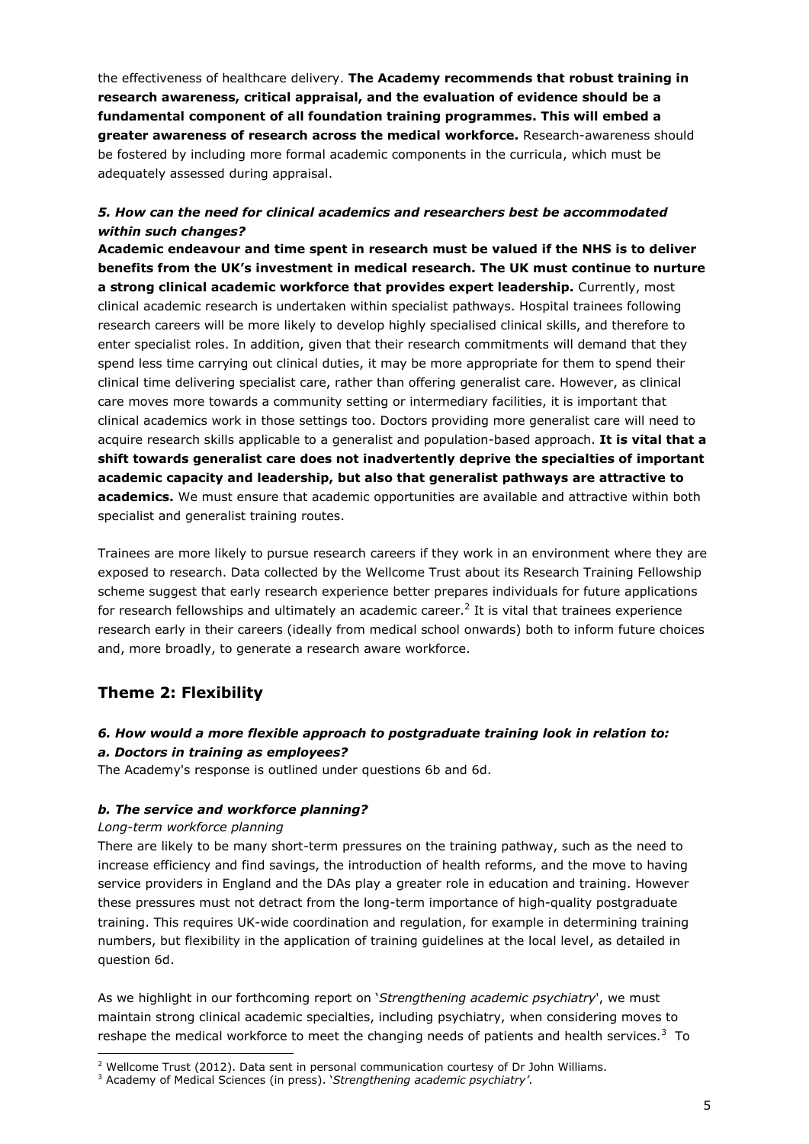the effectiveness of healthcare delivery. **The Academy recommends that robust training in research awareness, critical appraisal, and the evaluation of evidence should be a fundamental component of all foundation training programmes. This will embed a greater awareness of research across the medical workforce.** Research-awareness should be fostered by including more formal academic components in the curricula, which must be adequately assessed during appraisal.

## *5. How can the need for clinical academics and researchers best be accommodated within such changes?*

**Academic endeavour and time spent in research must be valued if the NHS is to deliver benefits from the UK's investment in medical research. The UK must continue to nurture a strong clinical academic workforce that provides expert leadership.** Currently, most clinical academic research is undertaken within specialist pathways. Hospital trainees following research careers will be more likely to develop highly specialised clinical skills, and therefore to enter specialist roles. In addition, given that their research commitments will demand that they spend less time carrying out clinical duties, it may be more appropriate for them to spend their clinical time delivering specialist care, rather than offering generalist care. However, as clinical care moves more towards a community setting or intermediary facilities, it is important that clinical academics work in those settings too. Doctors providing more generalist care will need to acquire research skills applicable to a generalist and population-based approach. **It is vital that a shift towards generalist care does not inadvertently deprive the specialties of important academic capacity and leadership, but also that generalist pathways are attractive to academics.** We must ensure that academic opportunities are available and attractive within both specialist and generalist training routes.

Trainees are more likely to pursue research careers if they work in an environment where they are exposed to research. Data collected by the Wellcome Trust about its Research Training Fellowship scheme suggest that early research experience better prepares individuals for future applications for research fellowships and ultimately an academic career.<sup>2</sup> It is vital that trainees experience research early in their careers (ideally from medical school onwards) both to inform future choices and, more broadly, to generate a research aware workforce.

## **Theme 2: Flexibility**

#### *6. How would a more flexible approach to postgraduate training look in relation to:*

#### *a. Doctors in training as employees?*

The Academy's response is outlined under questions 6b and 6d.

#### *b. The service and workforce planning?*

#### *Long-term workforce planning*

-

There are likely to be many short-term pressures on the training pathway, such as the need to increase efficiency and find savings, the introduction of health reforms, and the move to having service providers in England and the DAs play a greater role in education and training. However these pressures must not detract from the long-term importance of high-quality postgraduate training. This requires UK-wide coordination and regulation, for example in determining training numbers, but flexibility in the application of training guidelines at the local level, as detailed in question 6d.

As we highlight in our forthcoming report on '*Strengthening academic psychiatry*', we must maintain strong clinical academic specialties, including psychiatry, when considering moves to reshape the medical workforce to meet the changing needs of patients and health services.<sup>3</sup> To

 $2$  Wellcome Trust (2012). Data sent in personal communication courtesy of Dr John Williams.

<sup>3</sup> Academy of Medical Sciences (in press). '*Strengthening academic psychiatry'*.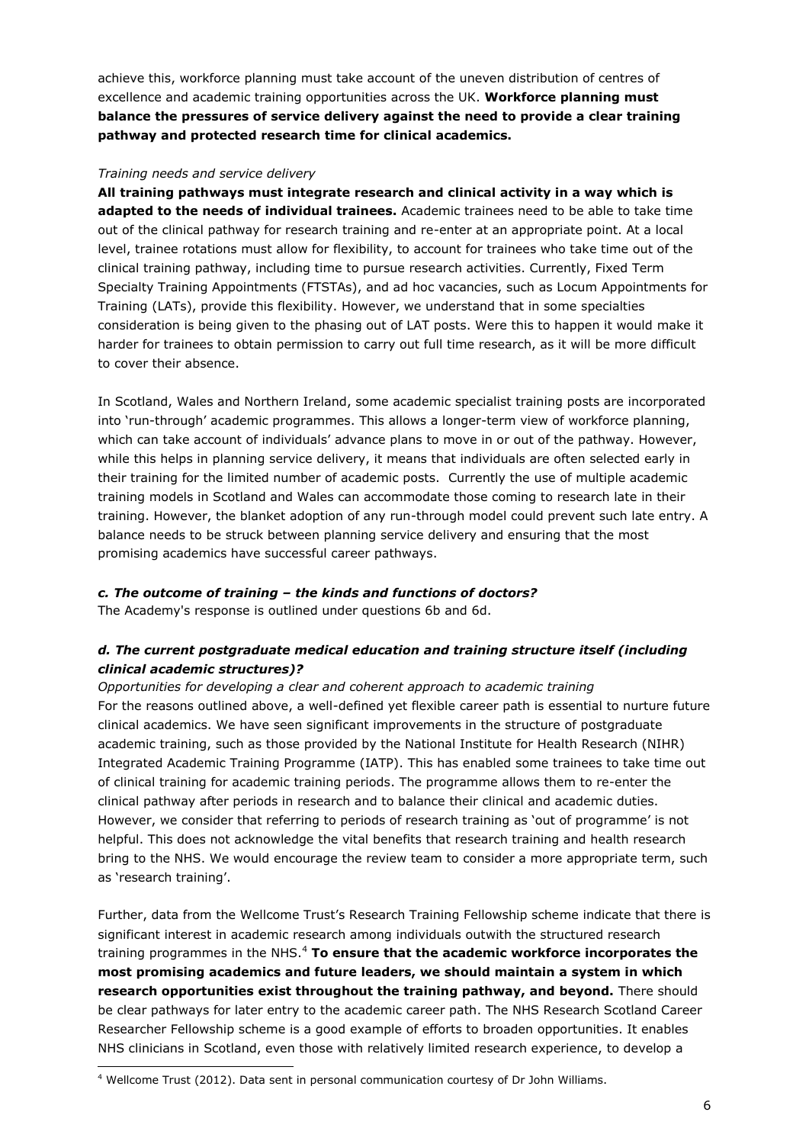achieve this, workforce planning must take account of the uneven distribution of centres of excellence and academic training opportunities across the UK. **Workforce planning must balance the pressures of service delivery against the need to provide a clear training pathway and protected research time for clinical academics.**

#### *Training needs and service delivery*

**All training pathways must integrate research and clinical activity in a way which is adapted to the needs of individual trainees.** Academic trainees need to be able to take time out of the clinical pathway for research training and re-enter at an appropriate point. At a local level, trainee rotations must allow for flexibility, to account for trainees who take time out of the clinical training pathway, including time to pursue research activities. Currently, Fixed Term Specialty Training Appointments (FTSTAs), and ad hoc vacancies, such as Locum Appointments for Training (LATs), provide this flexibility. However, we understand that in some specialties consideration is being given to the phasing out of LAT posts. Were this to happen it would make it harder for trainees to obtain permission to carry out full time research, as it will be more difficult to cover their absence.

In Scotland, Wales and Northern Ireland, some academic specialist training posts are incorporated into 'run-through' academic programmes. This allows a longer-term view of workforce planning, which can take account of individuals' advance plans to move in or out of the pathway. However, while this helps in planning service delivery, it means that individuals are often selected early in their training for the limited number of academic posts. Currently the use of multiple academic training models in Scotland and Wales can accommodate those coming to research late in their training. However, the blanket adoption of any run-through model could prevent such late entry. A balance needs to be struck between planning service delivery and ensuring that the most promising academics have successful career pathways.

#### *c. The outcome of training – the kinds and functions of doctors?*

The Academy's response is outlined under questions 6b and 6d.

## *d. The current postgraduate medical education and training structure itself (including clinical academic structures)?*

*Opportunities for developing a clear and coherent approach to academic training* For the reasons outlined above, a well-defined yet flexible career path is essential to nurture future clinical academics. We have seen significant improvements in the structure of postgraduate academic training, such as those provided by the National Institute for Health Research (NIHR) Integrated Academic Training Programme (IATP). This has enabled some trainees to take time out of clinical training for academic training periods. The programme allows them to re-enter the clinical pathway after periods in research and to balance their clinical and academic duties. However, we consider that referring to periods of research training as 'out of programme' is not helpful. This does not acknowledge the vital benefits that research training and health research bring to the NHS. We would encourage the review team to consider a more appropriate term, such as 'research training'.

Further, data from the Wellcome Trust's Research Training Fellowship scheme indicate that there is significant interest in academic research among individuals outwith the structured research training programmes in the NHS.<sup>4</sup> **To ensure that the academic workforce incorporates the most promising academics and future leaders, we should maintain a system in which research opportunities exist throughout the training pathway, and beyond.** There should be clear pathways for later entry to the academic career path. The NHS Research Scotland Career Researcher Fellowship scheme is a good example of efforts to broaden opportunities. It enables NHS clinicians in Scotland, even those with relatively limited research experience, to develop a

<sup>-</sup><sup>4</sup> Wellcome Trust (2012). Data sent in personal communication courtesy of Dr John Williams.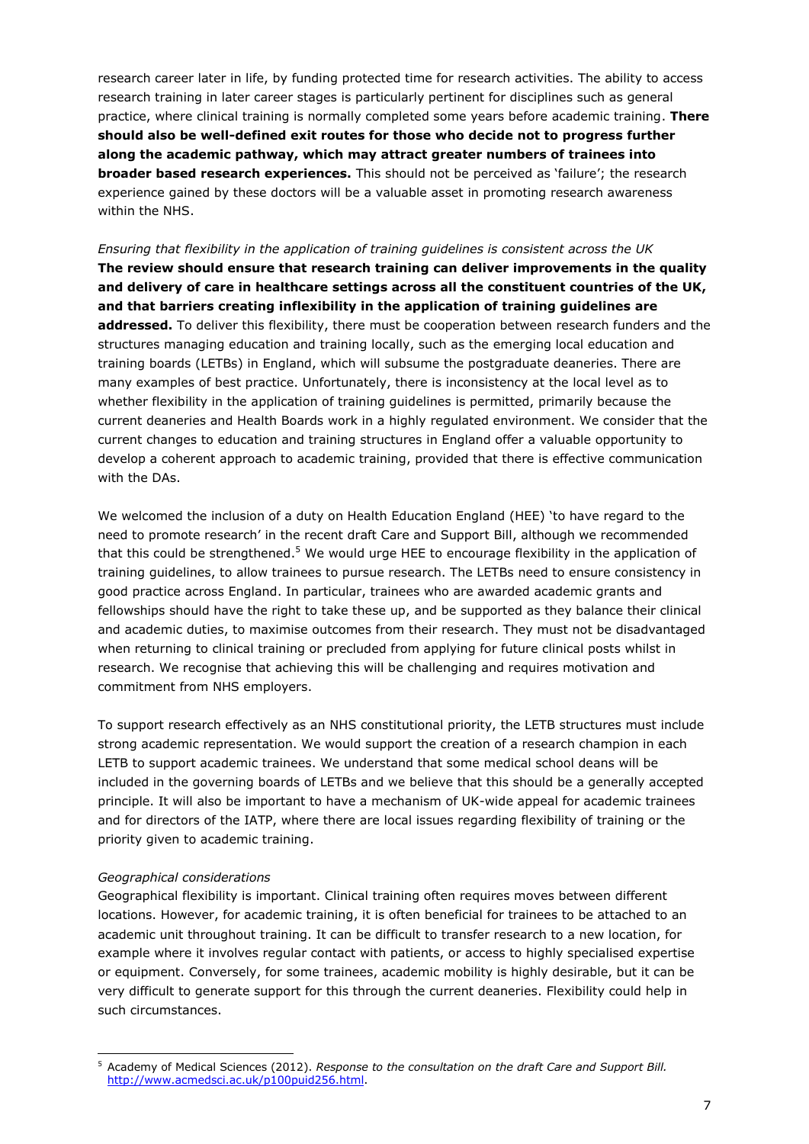research career later in life, by funding protected time for research activities. The ability to access research training in later career stages is particularly pertinent for disciplines such as general practice, where clinical training is normally completed some years before academic training. **There should also be well-defined exit routes for those who decide not to progress further along the academic pathway, which may attract greater numbers of trainees into broader based research experiences.** This should not be perceived as 'failure'; the research experience gained by these doctors will be a valuable asset in promoting research awareness within the NHS.

*Ensuring that flexibility in the application of training guidelines is consistent across the UK*  **The review should ensure that research training can deliver improvements in the quality and delivery of care in healthcare settings across all the constituent countries of the UK, and that barriers creating inflexibility in the application of training guidelines are addressed.** To deliver this flexibility, there must be cooperation between research funders and the structures managing education and training locally, such as the emerging local education and training boards (LETBs) in England, which will subsume the postgraduate deaneries. There are many examples of best practice. Unfortunately, there is inconsistency at the local level as to whether flexibility in the application of training guidelines is permitted, primarily because the current deaneries and Health Boards work in a highly regulated environment. We consider that the current changes to education and training structures in England offer a valuable opportunity to develop a coherent approach to academic training, provided that there is effective communication with the DAs.

We welcomed the inclusion of a duty on Health Education England (HEE) 'to have regard to the need to promote research' in the recent draft Care and Support Bill, although we recommended that this could be strengthened.<sup>5</sup> We would urge HEE to encourage flexibility in the application of training guidelines, to allow trainees to pursue research. The LETBs need to ensure consistency in good practice across England. In particular, trainees who are awarded academic grants and fellowships should have the right to take these up, and be supported as they balance their clinical and academic duties, to maximise outcomes from their research. They must not be disadvantaged when returning to clinical training or precluded from applying for future clinical posts whilst in research. We recognise that achieving this will be challenging and requires motivation and commitment from NHS employers.

To support research effectively as an NHS constitutional priority, the LETB structures must include strong academic representation. We would support the creation of a research champion in each LETB to support academic trainees. We understand that some medical school deans will be included in the governing boards of LETBs and we believe that this should be a generally accepted principle. It will also be important to have a mechanism of UK-wide appeal for academic trainees and for directors of the IATP, where there are local issues regarding flexibility of training or the priority given to academic training.

#### *Geographical considerations*

-

Geographical flexibility is important. Clinical training often requires moves between different locations. However, for academic training, it is often beneficial for trainees to be attached to an academic unit throughout training. It can be difficult to transfer research to a new location, for example where it involves regular contact with patients, or access to highly specialised expertise or equipment. Conversely, for some trainees, academic mobility is highly desirable, but it can be very difficult to generate support for this through the current deaneries. Flexibility could help in such circumstances.

<sup>5</sup> Academy of Medical Sciences (2012). *Response to the consultation on the draft Care and Support Bill.*  [http://www.acmedsci.ac.uk/p100puid256.html.](http://www.acmedsci.ac.uk/p100puid256.html)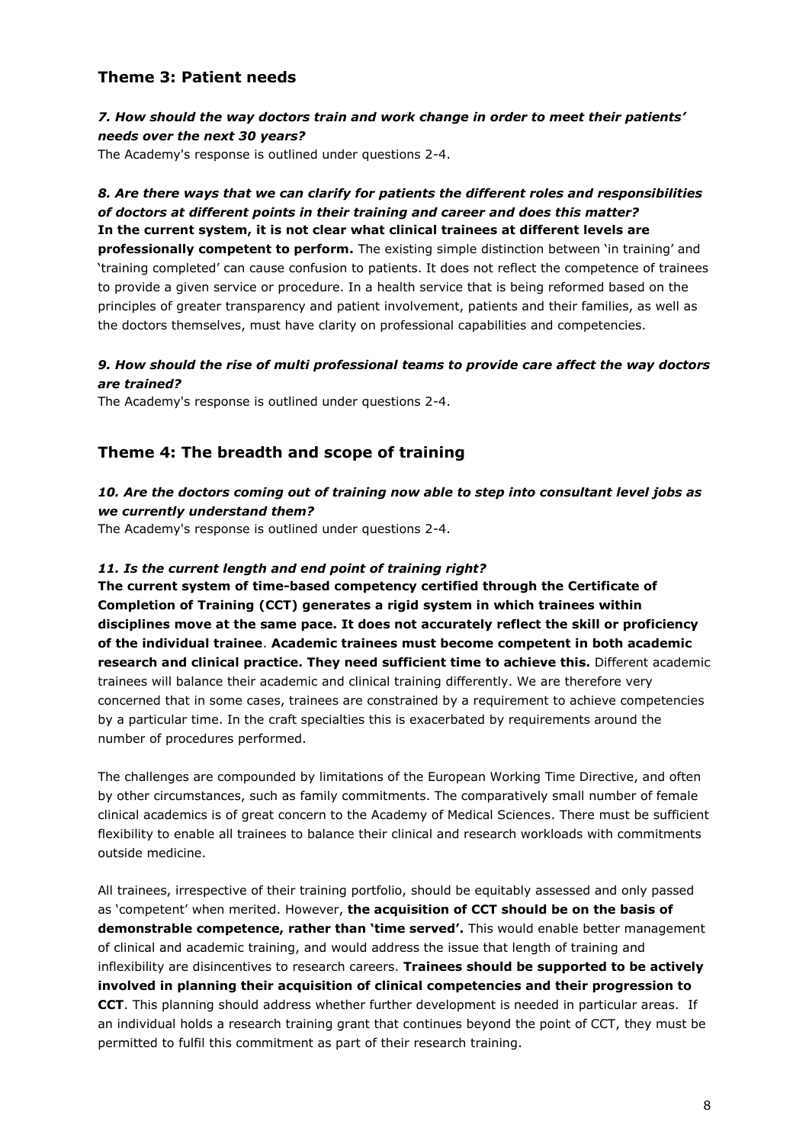## **Theme 3: Patient needs**

### *7. How should the way doctors train and work change in order to meet their patients' needs over the next 30 years?*

The Academy's response is outlined under questions 2-4.

## *8. Are there ways that we can clarify for patients the different roles and responsibilities of doctors at different points in their training and career and does this matter?* **In the current system, it is not clear what clinical trainees at different levels are professionally competent to perform.** The existing simple distinction between 'in training' and 'training completed' can cause confusion to patients. It does not reflect the competence of trainees to provide a given service or procedure. In a health service that is being reformed based on the principles of greater transparency and patient involvement, patients and their families, as well as the doctors themselves, must have clarity on professional capabilities and competencies.

## *9. How should the rise of multi professional teams to provide care affect the way doctors are trained?*

The Academy's response is outlined under questions 2-4.

## **Theme 4: The breadth and scope of training**

## *10. Are the doctors coming out of training now able to step into consultant level jobs as we currently understand them?*

The Academy's response is outlined under questions 2-4.

#### *11. Is the current length and end point of training right?*

**The current system of time-based competency certified through the Certificate of Completion of Training (CCT) generates a rigid system in which trainees within disciplines move at the same pace. It does not accurately reflect the skill or proficiency of the individual trainee**. **Academic trainees must become competent in both academic research and clinical practice. They need sufficient time to achieve this.** Different academic trainees will balance their academic and clinical training differently. We are therefore very concerned that in some cases, trainees are constrained by a requirement to achieve competencies by a particular time. In the craft specialties this is exacerbated by requirements around the number of procedures performed.

The challenges are compounded by limitations of the European Working Time Directive, and often by other circumstances, such as family commitments. The comparatively small number of female clinical academics is of great concern to the Academy of Medical Sciences. There must be sufficient flexibility to enable all trainees to balance their clinical and research workloads with commitments outside medicine.

All trainees, irrespective of their training portfolio, should be equitably assessed and only passed as 'competent' when merited. However, **the acquisition of CCT should be on the basis of demonstrable competence, rather than 'time served'.** This would enable better management of clinical and academic training, and would address the issue that length of training and inflexibility are disincentives to research careers. **Trainees should be supported to be actively involved in planning their acquisition of clinical competencies and their progression to CCT**. This planning should address whether further development is needed in particular areas. If an individual holds a research training grant that continues beyond the point of CCT, they must be permitted to fulfil this commitment as part of their research training.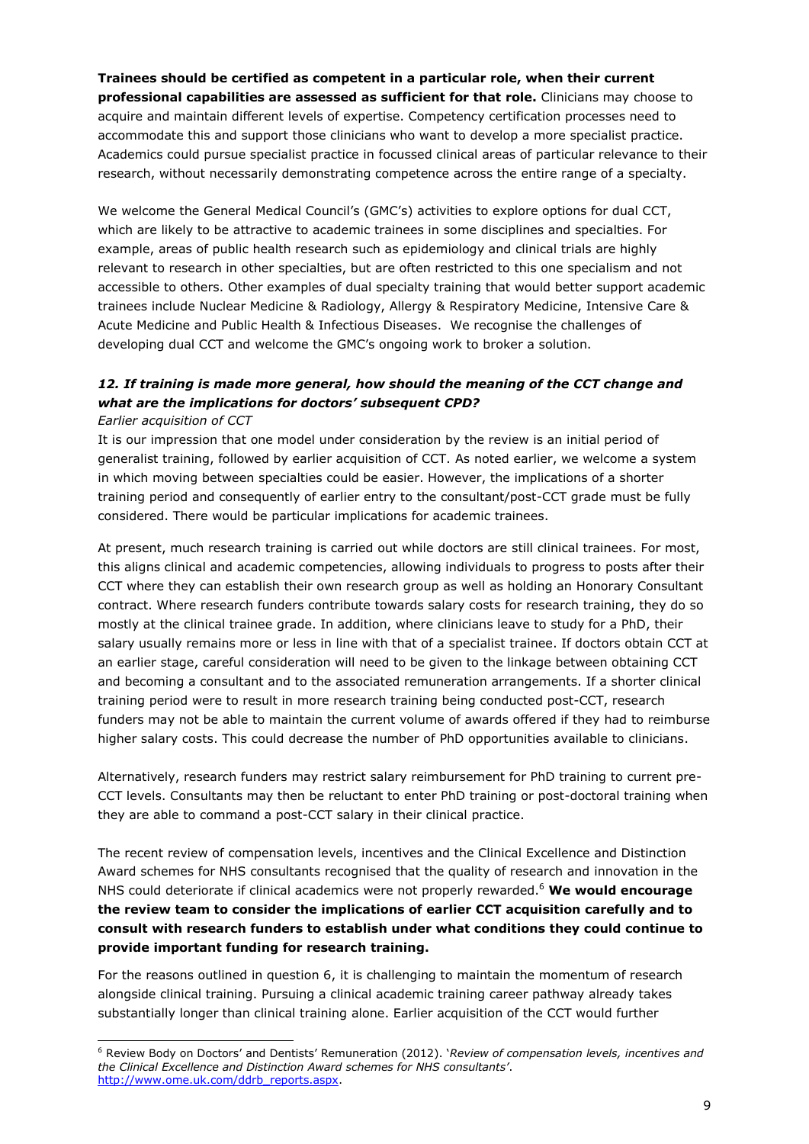**Trainees should be certified as competent in a particular role, when their current professional capabilities are assessed as sufficient for that role.** Clinicians may choose to acquire and maintain different levels of expertise. Competency certification processes need to accommodate this and support those clinicians who want to develop a more specialist practice. Academics could pursue specialist practice in focussed clinical areas of particular relevance to their research, without necessarily demonstrating competence across the entire range of a specialty.

We welcome the General Medical Council's (GMC's) activities to explore options for dual CCT, which are likely to be attractive to academic trainees in some disciplines and specialties. For example, areas of public health research such as epidemiology and clinical trials are highly relevant to research in other specialties, but are often restricted to this one specialism and not accessible to others. Other examples of dual specialty training that would better support academic trainees include Nuclear Medicine & Radiology, Allergy & Respiratory Medicine, Intensive Care & Acute Medicine and Public Health & Infectious Diseases. We recognise the challenges of developing dual CCT and welcome the GMC's ongoing work to broker a solution.

# 12. If training is made more general, how should the meaning of the CCT change and *what are the implications for doctors' subsequent CPD?*

#### *Earlier acquisition of CCT*

-

It is our impression that one model under consideration by the review is an initial period of generalist training, followed by earlier acquisition of CCT. As noted earlier, we welcome a system in which moving between specialties could be easier. However, the implications of a shorter training period and consequently of earlier entry to the consultant/post-CCT grade must be fully considered. There would be particular implications for academic trainees.

At present, much research training is carried out while doctors are still clinical trainees. For most, this aligns clinical and academic competencies, allowing individuals to progress to posts after their CCT where they can establish their own research group as well as holding an Honorary Consultant contract. Where research funders contribute towards salary costs for research training, they do so mostly at the clinical trainee grade. In addition, where clinicians leave to study for a PhD, their salary usually remains more or less in line with that of a specialist trainee. If doctors obtain CCT at an earlier stage, careful consideration will need to be given to the linkage between obtaining CCT and becoming a consultant and to the associated remuneration arrangements. If a shorter clinical training period were to result in more research training being conducted post-CCT, research funders may not be able to maintain the current volume of awards offered if they had to reimburse higher salary costs. This could decrease the number of PhD opportunities available to clinicians.

Alternatively, research funders may restrict salary reimbursement for PhD training to current pre-CCT levels. Consultants may then be reluctant to enter PhD training or post-doctoral training when they are able to command a post-CCT salary in their clinical practice.

The recent review of compensation levels, incentives and the Clinical Excellence and Distinction Award schemes for NHS consultants recognised that the quality of research and innovation in the NHS could deteriorate if clinical academics were not properly rewarded.<sup>6</sup> **We would encourage the review team to consider the implications of earlier CCT acquisition carefully and to consult with research funders to establish under what conditions they could continue to provide important funding for research training.**

For the reasons outlined in question 6, it is challenging to maintain the momentum of research alongside clinical training. Pursuing a clinical academic training career pathway already takes substantially longer than clinical training alone. Earlier acquisition of the CCT would further

<sup>6</sup> Review Body on Doctors' and Dentists' Remuneration (2012). '*Review of compensation levels, incentives and the Clinical Excellence and Distinction Award schemes for NHS consultants'*. [http://www.ome.uk.com/ddrb\\_reports.aspx.](http://www.ome.uk.com/ddrb_reports.aspx)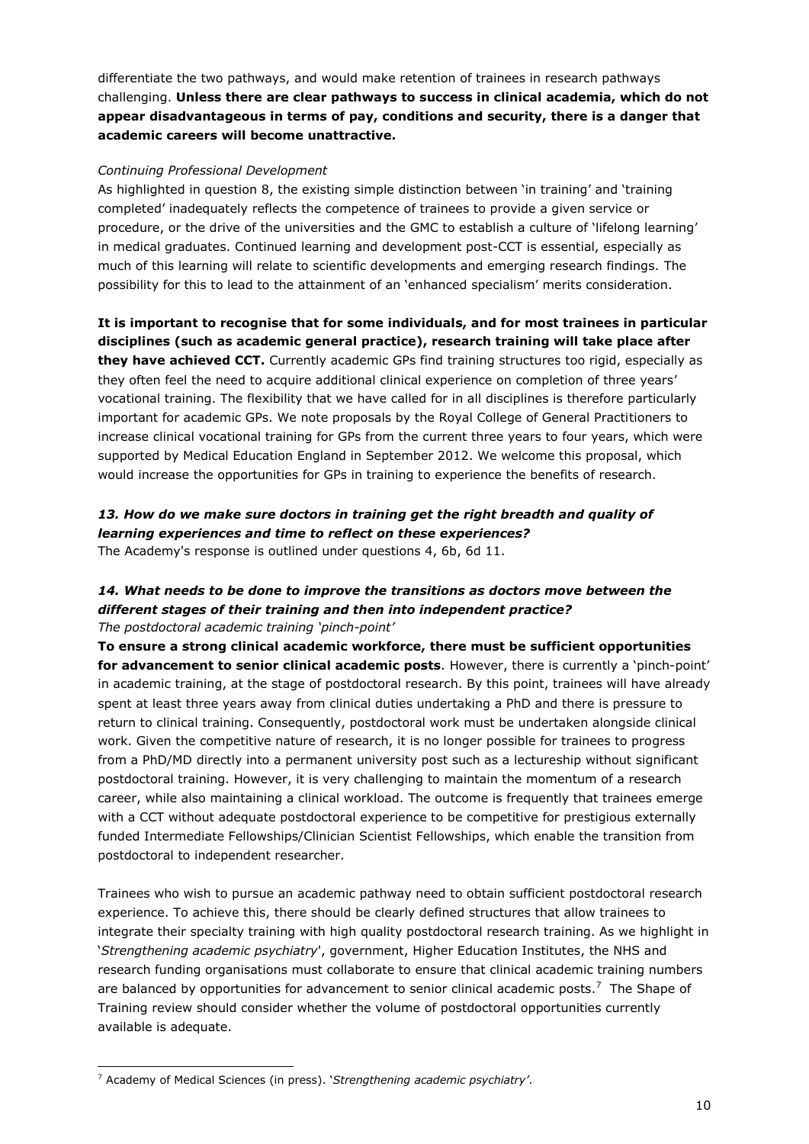differentiate the two pathways, and would make retention of trainees in research pathways challenging. **Unless there are clear pathways to success in clinical academia, which do not appear disadvantageous in terms of pay, conditions and security, there is a danger that academic careers will become unattractive.**

#### *Continuing Professional Development*

As highlighted in question 8, the existing simple distinction between 'in training' and 'training completed' inadequately reflects the competence of trainees to provide a given service or procedure, or the drive of the universities and the GMC to establish a culture of 'lifelong learning' in medical graduates. Continued learning and development post-CCT is essential, especially as much of this learning will relate to scientific developments and emerging research findings. The possibility for this to lead to the attainment of an 'enhanced specialism' merits consideration.

**It is important to recognise that for some individuals, and for most trainees in particular disciplines (such as academic general practice), research training will take place after they have achieved CCT.** Currently academic GPs find training structures too rigid, especially as they often feel the need to acquire additional clinical experience on completion of three years' vocational training. The flexibility that we have called for in all disciplines is therefore particularly important for academic GPs. We note proposals by the Royal College of General Practitioners to increase clinical vocational training for GPs from the current three years to four years, which were supported by Medical Education England in September 2012. We welcome this proposal, which would increase the opportunities for GPs in training to experience the benefits of research.

### *13. How do we make sure doctors in training get the right breadth and quality of learning experiences and time to reflect on these experiences?* The Academy's response is outlined under questions 4, 6b, 6d 11.

## *14. What needs to be done to improve the transitions as doctors move between the different stages of their training and then into independent practice? The postdoctoral academic training 'pinch-point'*

**To ensure a strong clinical academic workforce, there must be sufficient opportunities for advancement to senior clinical academic posts**. However, there is currently a 'pinch-point' in academic training, at the stage of postdoctoral research. By this point, trainees will have already spent at least three years away from clinical duties undertaking a PhD and there is pressure to return to clinical training. Consequently, postdoctoral work must be undertaken alongside clinical work. Given the competitive nature of research, it is no longer possible for trainees to progress from a PhD/MD directly into a permanent university post such as a lectureship without significant postdoctoral training. However, it is very challenging to maintain the momentum of a research career, while also maintaining a clinical workload. The outcome is frequently that trainees emerge with a CCT without adequate postdoctoral experience to be competitive for prestigious externally funded Intermediate Fellowships/Clinician Scientist Fellowships, which enable the transition from postdoctoral to independent researcher.

Trainees who wish to pursue an academic pathway need to obtain sufficient postdoctoral research experience. To achieve this, there should be clearly defined structures that allow trainees to integrate their specialty training with high quality postdoctoral research training. As we highlight in '*Strengthening academic psychiatry*', government, Higher Education Institutes, the NHS and research funding organisations must collaborate to ensure that clinical academic training numbers are balanced by opportunities for advancement to senior clinical academic posts.<sup>7</sup> The Shape of Training review should consider whether the volume of postdoctoral opportunities currently available is adequate.

<sup>-</sup><sup>7</sup> Academy of Medical Sciences (in press). '*Strengthening academic psychiatry'*.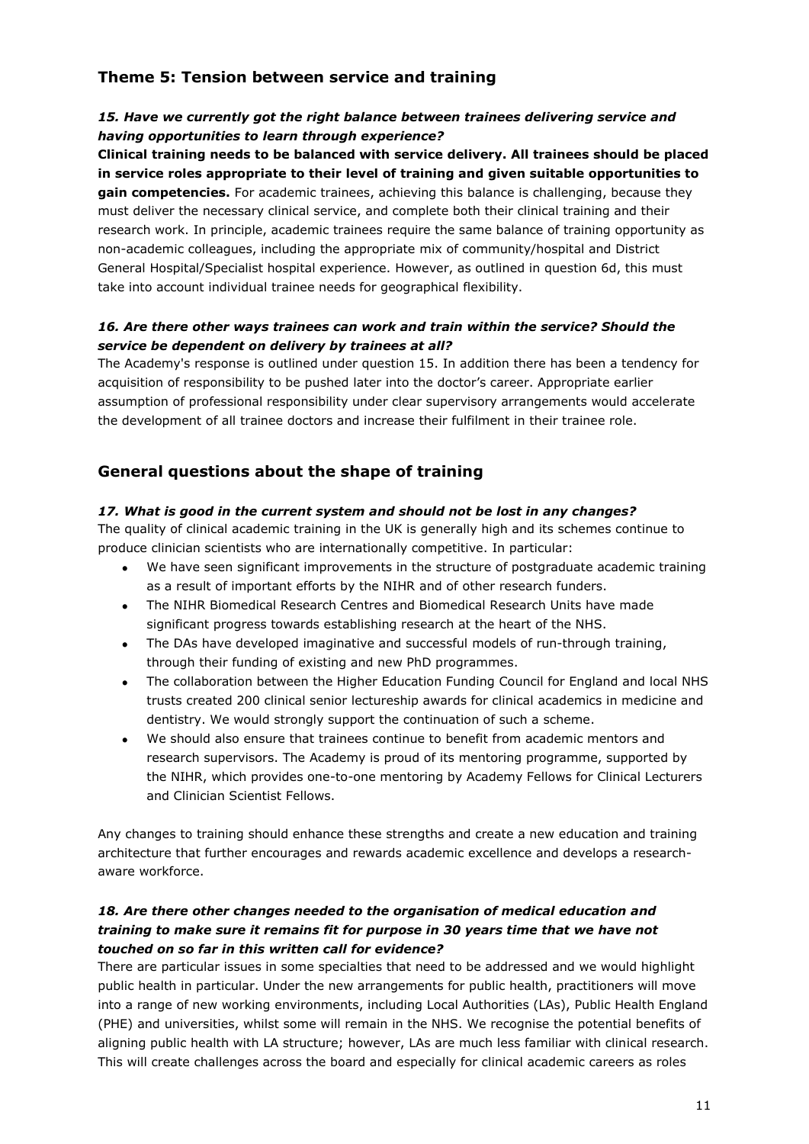## **Theme 5: Tension between service and training**

## 15. Have we currently got the right balance between trainees delivering service and *having opportunities to learn through experience?*

**Clinical training needs to be balanced with service delivery. All trainees should be placed in service roles appropriate to their level of training and given suitable opportunities to gain competencies.** For academic trainees, achieving this balance is challenging, because they must deliver the necessary clinical service, and complete both their clinical training and their research work. In principle, academic trainees require the same balance of training opportunity as non-academic colleagues, including the appropriate mix of community/hospital and District General Hospital/Specialist hospital experience. However, as outlined in question 6d, this must take into account individual trainee needs for geographical flexibility.

## *16. Are there other ways trainees can work and train within the service? Should the service be dependent on delivery by trainees at all?*

The Academy's response is outlined under question 15. In addition there has been a tendency for acquisition of responsibility to be pushed later into the doctor's career. Appropriate earlier assumption of professional responsibility under clear supervisory arrangements would accelerate the development of all trainee doctors and increase their fulfilment in their trainee role.

## **General questions about the shape of training**

## *17. What is good in the current system and should not be lost in any changes?*

The quality of clinical academic training in the UK is generally high and its schemes continue to produce clinician scientists who are internationally competitive. In particular:

- We have seen significant improvements in the structure of postgraduate academic training as a result of important efforts by the NIHR and of other research funders.
- The NIHR Biomedical Research Centres and Biomedical Research Units have made significant progress towards establishing research at the heart of the NHS.
- The DAs have developed imaginative and successful models of run-through training, through their funding of existing and new PhD programmes.
- The collaboration between the Higher Education Funding Council for England and local NHS trusts created 200 clinical senior lectureship awards for clinical academics in medicine and dentistry. We would strongly support the continuation of such a scheme.
- We should also ensure that trainees continue to benefit from academic mentors and research supervisors. The Academy is proud of its mentoring programme, supported by the NIHR, which provides one-to-one mentoring by Academy Fellows for Clinical Lecturers and Clinician Scientist Fellows.

Any changes to training should enhance these strengths and create a new education and training architecture that further encourages and rewards academic excellence and develops a researchaware workforce.

## *18. Are there other changes needed to the organisation of medical education and training to make sure it remains fit for purpose in 30 years time that we have not touched on so far in this written call for evidence?*

There are particular issues in some specialties that need to be addressed and we would highlight public health in particular. Under the new arrangements for public health, practitioners will move into a range of new working environments, including Local Authorities (LAs), Public Health England (PHE) and universities, whilst some will remain in the NHS. We recognise the potential benefits of aligning public health with LA structure; however, LAs are much less familiar with clinical research. This will create challenges across the board and especially for clinical academic careers as roles